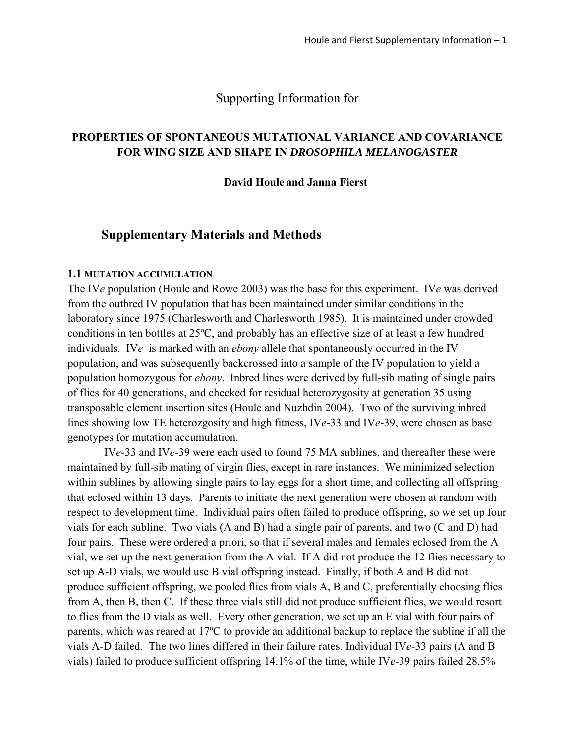## Supporting Information for

## **PROPERTIES OF SPONTANEOUS MUTATIONAL VARIANCE AND COVARIANCE FOR WING SIZE AND SHAPE IN** *DROSOPHILA MELANOGASTER*

#### **David Houle and Janna Fierst**

## **Supplementary Materials and Methods**

#### **1.1 MUTATION ACCUMULATION**

The IV*e* population (Houle and Rowe 2003) was the base for this experiment. IV*e* was derived from the outbred IV population that has been maintained under similar conditions in the laboratory since 1975 (Charlesworth and Charlesworth 1985). It is maintained under crowded conditions in ten bottles at 25ºC, and probably has an effective size of at least a few hundred individuals. IV*e* is marked with an *ebony* allele that spontaneously occurred in the IV population, and was subsequently backcrossed into a sample of the IV population to yield a population homozygous for *ebony*. Inbred lines were derived by full-sib mating of single pairs of flies for 40 generations, and checked for residual heterozygosity at generation 35 using transposable element insertion sites (Houle and Nuzhdin 2004). Two of the surviving inbred lines showing low TE heterozgosity and high fitness, IV*e*-33 and IV*e*-39, were chosen as base genotypes for mutation accumulation.

 IV*e*-33 and IV*e*-39 were each used to found 75 MA sublines, and thereafter these were maintained by full-sib mating of virgin flies, except in rare instances. We minimized selection within sublines by allowing single pairs to lay eggs for a short time, and collecting all offspring that eclosed within 13 days. Parents to initiate the next generation were chosen at random with respect to development time. Individual pairs often failed to produce offspring, so we set up four vials for each subline. Two vials (A and B) had a single pair of parents, and two (C and D) had four pairs. These were ordered a priori, so that if several males and females eclosed from the A vial, we set up the next generation from the A vial. If A did not produce the 12 flies necessary to set up A-D vials, we would use B vial offspring instead. Finally, if both A and B did not produce sufficient offspring, we pooled flies from vials A, B and C, preferentially choosing flies from A, then B, then C. If these three vials still did not produce sufficient flies, we would resort to flies from the D vials as well. Every other generation, we set up an E vial with four pairs of parents, which was reared at 17ºC to provide an additional backup to replace the subline if all the vials A-D failed. The two lines differed in their failure rates. Individual IV*e*-33 pairs (A and B vials) failed to produce sufficient offspring 14.1% of the time, while IV*e*-39 pairs failed 28.5%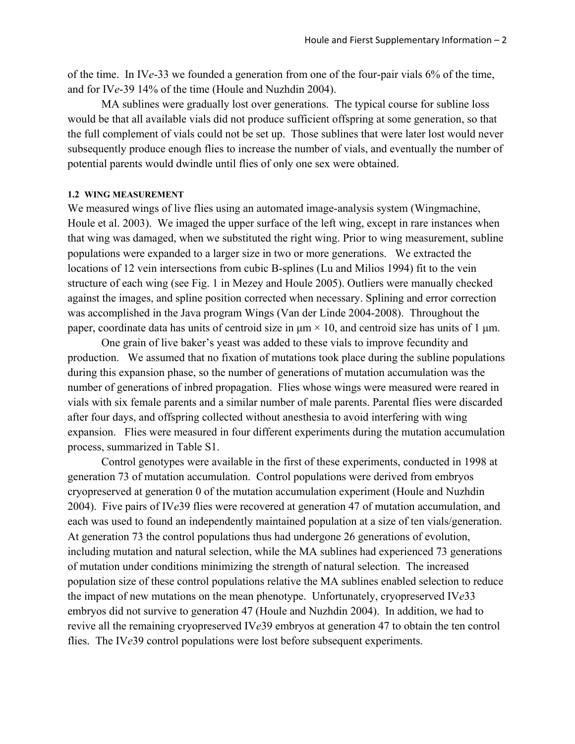of the time. In IV*e*-33 we founded a generation from one of the four-pair vials 6% of the time, and for IV*e*-39 14% of the time (Houle and Nuzhdin 2004).

 MA sublines were gradually lost over generations. The typical course for subline loss would be that all available vials did not produce sufficient offspring at some generation, so that the full complement of vials could not be set up. Those sublines that were later lost would never subsequently produce enough flies to increase the number of vials, and eventually the number of potential parents would dwindle until flies of only one sex were obtained.

#### **1.2 WING MEASUREMENT**

We measured wings of live flies using an automated image-analysis system (Wingmachine, Houle et al. 2003). We imaged the upper surface of the left wing, except in rare instances when that wing was damaged, when we substituted the right wing. Prior to wing measurement, subline populations were expanded to a larger size in two or more generations. We extracted the locations of 12 vein intersections from cubic B-splines (Lu and Milios 1994) fit to the vein structure of each wing (see Fig. 1 in Mezey and Houle 2005). Outliers were manually checked against the images, and spline position corrected when necessary. Splining and error correction was accomplished in the Java program Wings (Van der Linde 2004-2008). Throughout the paper, coordinate data has units of centroid size in  $\mu$ m × 10, and centroid size has units of 1  $\mu$ m.

One grain of live baker's yeast was added to these vials to improve fecundity and production. We assumed that no fixation of mutations took place during the subline populations during this expansion phase, so the number of generations of mutation accumulation was the number of generations of inbred propagation. Flies whose wings were measured were reared in vials with six female parents and a similar number of male parents. Parental flies were discarded after four days, and offspring collected without anesthesia to avoid interfering with wing expansion. Flies were measured in four different experiments during the mutation accumulation process, summarized in Table S1.

 Control genotypes were available in the first of these experiments, conducted in 1998 at generation 73 of mutation accumulation. Control populations were derived from embryos cryopreserved at generation 0 of the mutation accumulation experiment (Houle and Nuzhdin 2004). Five pairs of IV*e*39 flies were recovered at generation 47 of mutation accumulation, and each was used to found an independently maintained population at a size of ten vials/generation. At generation 73 the control populations thus had undergone 26 generations of evolution, including mutation and natural selection, while the MA sublines had experienced 73 generations of mutation under conditions minimizing the strength of natural selection. The increased population size of these control populations relative the MA sublines enabled selection to reduce the impact of new mutations on the mean phenotype. Unfortunately, cryopreserved IV*e*33 embryos did not survive to generation 47 (Houle and Nuzhdin 2004). In addition, we had to revive all the remaining cryopreserved IV*e*39 embryos at generation 47 to obtain the ten control flies. The IVe<sup>39</sup> control populations were lost before subsequent experiments.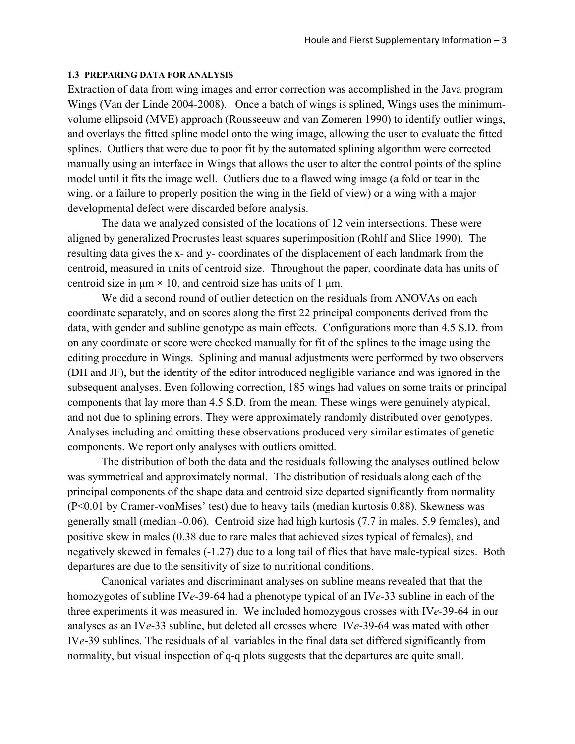#### **1.3 PREPARING DATA FOR ANALYSIS**

Extraction of data from wing images and error correction was accomplished in the Java program Wings (Van der Linde 2004-2008). Once a batch of wings is splined, Wings uses the minimumvolume ellipsoid (MVE) approach (Rousseeuw and van Zomeren 1990) to identify outlier wings, and overlays the fitted spline model onto the wing image, allowing the user to evaluate the fitted splines. Outliers that were due to poor fit by the automated splining algorithm were corrected manually using an interface in Wings that allows the user to alter the control points of the spline model until it fits the image well. Outliers due to a flawed wing image (a fold or tear in the wing, or a failure to properly position the wing in the field of view) or a wing with a major developmental defect were discarded before analysis.

The data we analyzed consisted of the locations of 12 vein intersections. These were aligned by generalized Procrustes least squares superimposition (Rohlf and Slice 1990). The resulting data gives the x- and y- coordinates of the displacement of each landmark from the centroid, measured in units of centroid size. Throughout the paper, coordinate data has units of centroid size in  $\mu$ m × 10, and centroid size has units of 1  $\mu$ m.

We did a second round of outlier detection on the residuals from ANOVAs on each coordinate separately, and on scores along the first 22 principal components derived from the data, with gender and subline genotype as main effects. Configurations more than 4.5 S.D. from on any coordinate or score were checked manually for fit of the splines to the image using the editing procedure in Wings. Splining and manual adjustments were performed by two observers (DH and JF), but the identity of the editor introduced negligible variance and was ignored in the subsequent analyses. Even following correction, 185 wings had values on some traits or principal components that lay more than 4.5 S.D. from the mean. These wings were genuinely atypical, and not due to splining errors. They were approximately randomly distributed over genotypes. Analyses including and omitting these observations produced very similar estimates of genetic components. We report only analyses with outliers omitted.

The distribution of both the data and the residuals following the analyses outlined below was symmetrical and approximately normal. The distribution of residuals along each of the principal components of the shape data and centroid size departed significantly from normality (P<0.01 by Cramer-vonMises' test) due to heavy tails (median kurtosis 0.88). Skewness was generally small (median -0.06). Centroid size had high kurtosis (7.7 in males, 5.9 females), and positive skew in males (0.38 due to rare males that achieved sizes typical of females), and negatively skewed in females (-1.27) due to a long tail of flies that have male-typical sizes. Both departures are due to the sensitivity of size to nutritional conditions.

Canonical variates and discriminant analyses on subline means revealed that that the homozygotes of subline IV*e*-39-64 had a phenotype typical of an IV*e*-33 subline in each of the three experiments it was measured in. We included homozygous crosses with IV*e*-39-64 in our analyses as an IV*e*-33 subline, but deleted all crosses where IV*e*-39-64 was mated with other IV*e*-39 sublines. The residuals of all variables in the final data set differed significantly from normality, but visual inspection of q-q plots suggests that the departures are quite small.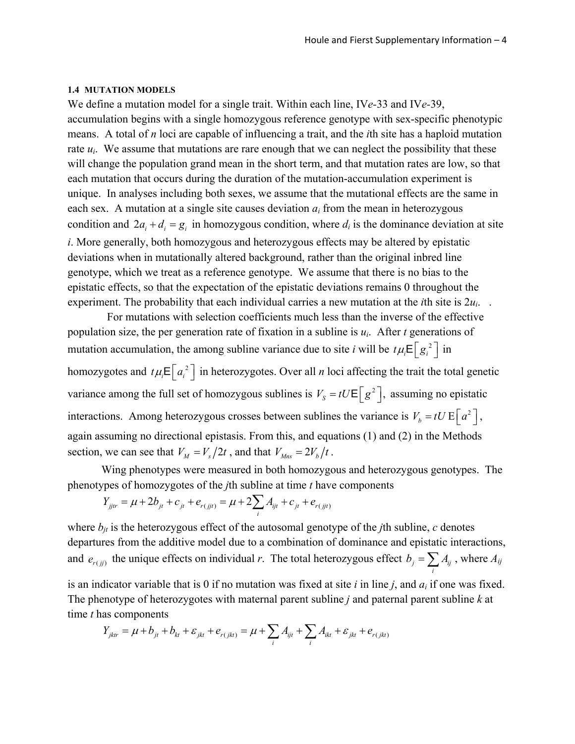#### **1.4 MUTATION MODELS**

We define a mutation model for a single trait. Within each line, IV*e-*33 and IV*e-*39, accumulation begins with a single homozygous reference genotype with sex-specific phenotypic means. A total of *n* loci are capable of influencing a trait, and the *i*th site has a haploid mutation rate  $u_i$ . We assume that mutations are rare enough that we can neglect the possibility that these will change the population grand mean in the short term, and that mutation rates are low, so that each mutation that occurs during the duration of the mutation-accumulation experiment is unique. In analyses including both sexes, we assume that the mutational effects are the same in each sex. A mutation at a single site causes deviation *ai* from the mean in heterozygous condition and  $2a_i + d_i = g_i$  in homozygous condition, where  $d_i$  is the dominance deviation at site *i*. More generally, both homozygous and heterozygous effects may be altered by epistatic deviations when in mutationally altered background, rather than the original inbred line genotype, which we treat as a reference genotype. We assume that there is no bias to the epistatic effects, so that the expectation of the epistatic deviations remains 0 throughout the experiment. The probability that each individual carries a new mutation at the *i*th site is 2*ui*. .

 For mutations with selection coefficients much less than the inverse of the effective population size, the per generation rate of fixation in a subline is  $u_i$ . After *t* generations of mutation accumulation, the among subline variance due to site *i* will be  $t \mu_i \mathsf{E}\left[g_i^2\right]$  in homozygotes and  $t \mu_i \mathsf{E} \left[ a_i^2 \right]$  in heterozygotes. Over all *n* loci affecting the trait the total genetic variance among the full set of homozygous sublines is  $V_s = tU \mathsf{E} \left[ g^2 \right]$ , assuming no epistatic interactions. Among heterozygous crosses between sublines the variance is  $V_b = tU E \left[ a^2 \right]$ , again assuming no directional epistasis. From this, and equations (1) and (2) in the Methods section, we can see that  $V_M = V_s/2t$ , and that  $V_{Mns} = 2V_b/t$ .

Wing phenotypes were measured in both homozygous and heterozygous genotypes. The phenotypes of homozygotes of the *j*th subline at time *t* have components

$$
Y_{ijtr} = \mu + 2b_{jt} + c_{jt} + e_{r(jjt)} = \mu + 2\sum_{i} A_{ijt} + c_{jt} + e_{r(jjt)}
$$

where  $b_{it}$  is the heterozygous effect of the autosomal genotype of the *j*th subline, *c* denotes departures from the additive model due to a combination of dominance and epistatic interactions, and  $e_{r(j)}$  the unique effects on individual *r*. The total heterozygous effect  $b_j = \sum A_{ij}$ , where  $A_{ij}$ *i* is an indicator variable that is 0 if no mutation was fixed at site *i* in line *j*, and *ai* if one was fixed.

The phenotype of heterozygotes with maternal parent subline *j* and paternal parent subline *k* at time *t* has components

$$
Y_{jktr} = \mu + b_{jt} + b_{kt} + \varepsilon_{jkt} + e_{r(jkt)} = \mu + \sum_{i} A_{ijt} + \sum_{i} A_{ikt} + \varepsilon_{jkt} + e_{r(jkt)}
$$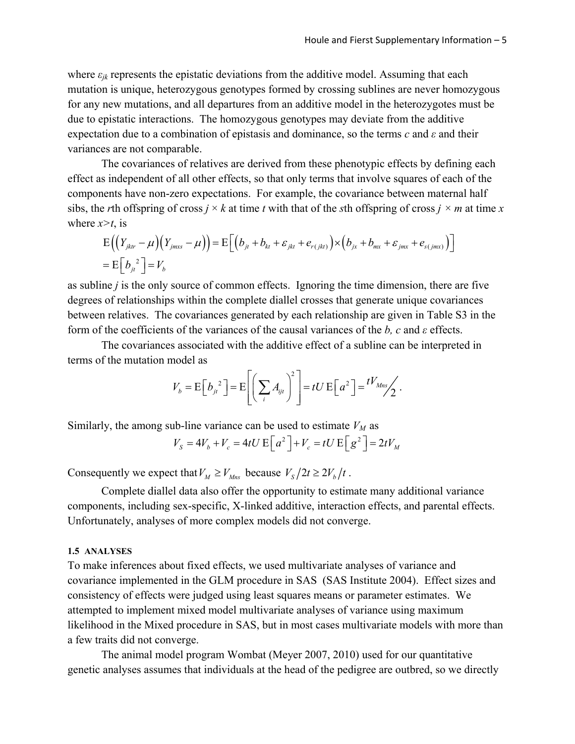where  $\varepsilon_{ik}$  represents the epistatic deviations from the additive model. Assuming that each mutation is unique, heterozygous genotypes formed by crossing sublines are never homozygous for any new mutations, and all departures from an additive model in the heterozygotes must be due to epistatic interactions. The homozygous genotypes may deviate from the additive expectation due to a combination of epistasis and dominance, so the terms *c* and *ε* and their variances are not comparable.

 The covariances of relatives are derived from these phenotypic effects by defining each effect as independent of all other effects, so that only terms that involve squares of each of the components have non-zero expectations. For example, the covariance between maternal half sibs, the *r*th offspring of cross  $j \times k$  at time *t* with that of the *s*th offspring of cross  $j \times m$  at time *x* where  $x \geq t$ , is

$$
E((Y_{jktr}-\mu)(Y_{jmxs}-\mu)) = E[(b_{jt}+b_{kt}+\varepsilon_{jkt}+e_{r(jkt)})\times (b_{jx}+b_{mx}+\varepsilon_{jmx}+e_{s(jmx)})]
$$
  
=  $E[b_{jt}^{2}] = V_b$ 

as subline *j* is the only source of common effects. Ignoring the time dimension, there are five degrees of relationships within the complete diallel crosses that generate unique covariances between relatives. The covariances generated by each relationship are given in Table S3 in the form of the coefficients of the variances of the causal variances of the *b, c* and *ε* effects.

The covariances associated with the additive effect of a subline can be interpreted in terms of the mutation model as

$$
V_b = \mathrm{E}\Big[b_{ji}^2\Big] = \mathrm{E}\Bigg[\Big(\sum_i A_{ijt}\Big)^2\Bigg] = tU\,\mathrm{E}\Big[a^2\Big] = \frac{tV_{Mns}}{2}.
$$

Similarly, the among sub-line variance can be used to estimate  $V_M$  as

$$
V_s = 4V_b + V_c = 4tU \operatorname{E}\left[a^2\right] + V_c = tU \operatorname{E}\left[g^2\right] = 2tV_M
$$

Consequently we expect that  $V_M \geq V_{Mns}$  because  $V_S/2t \geq 2V_b/t$ .

Complete diallel data also offer the opportunity to estimate many additional variance components, including sex-specific, X-linked additive, interaction effects, and parental effects. Unfortunately, analyses of more complex models did not converge.

#### **1.5 ANALYSES**

To make inferences about fixed effects, we used multivariate analyses of variance and covariance implemented in the GLM procedure in SAS (SAS Institute 2004). Effect sizes and consistency of effects were judged using least squares means or parameter estimates. We attempted to implement mixed model multivariate analyses of variance using maximum likelihood in the Mixed procedure in SAS, but in most cases multivariate models with more than a few traits did not converge.

The animal model program Wombat (Meyer 2007, 2010) used for our quantitative genetic analyses assumes that individuals at the head of the pedigree are outbred, so we directly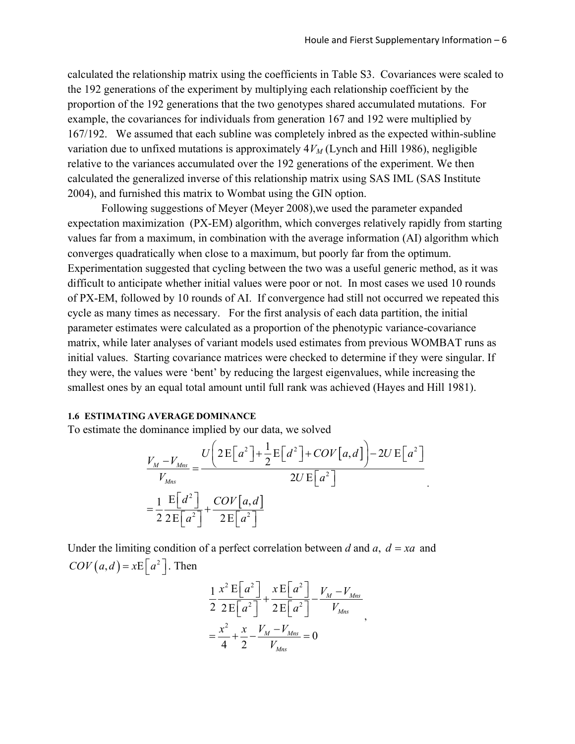calculated the relationship matrix using the coefficients in Table S3. Covariances were scaled to the 192 generations of the experiment by multiplying each relationship coefficient by the proportion of the 192 generations that the two genotypes shared accumulated mutations. For example, the covariances for individuals from generation 167 and 192 were multiplied by 167/192. We assumed that each subline was completely inbred as the expected within-subline variation due to unfixed mutations is approximately  $4V_M$  (Lynch and Hill 1986), negligible relative to the variances accumulated over the 192 generations of the experiment. We then calculated the generalized inverse of this relationship matrix using SAS IML (SAS Institute 2004), and furnished this matrix to Wombat using the GIN option.

Following suggestions of Meyer (Meyer 2008),we used the parameter expanded expectation maximization (PX-EM) algorithm, which converges relatively rapidly from starting values far from a maximum, in combination with the average information (AI) algorithm which converges quadratically when close to a maximum, but poorly far from the optimum. Experimentation suggested that cycling between the two was a useful generic method, as it was difficult to anticipate whether initial values were poor or not. In most cases we used 10 rounds of PX-EM, followed by 10 rounds of AI. If convergence had still not occurred we repeated this cycle as many times as necessary. For the first analysis of each data partition, the initial parameter estimates were calculated as a proportion of the phenotypic variance-covariance matrix, while later analyses of variant models used estimates from previous WOMBAT runs as initial values. Starting covariance matrices were checked to determine if they were singular. If they were, the values were 'bent' by reducing the largest eigenvalues, while increasing the smallest ones by an equal total amount until full rank was achieved (Hayes and Hill 1981).

#### **1.6 ESTIMATING AVERAGE DOMINANCE**

To estimate the dominance implied by our data, we solved

$$
\frac{V_M - V_{Mns}}{V_{Mns}} = \frac{U\left(2E\left[a^2\right] + \frac{1}{2}E\left[d^2\right] + COV\left[a,d\right]\right) - 2U E\left[a^2\right]}{2U E\left[a^2\right]}
$$
\n
$$
= \frac{1}{2} \frac{E\left[d^2\right]}{2E\left[a^2\right]} + \frac{COV\left[a,d\right]}{2E\left[a^2\right]}
$$

Under the limiting condition of a perfect correlation between *d* and *a*,  $d = xa$  and  $COV(a, d) = xE\left[a^2\right]$ . Then

$$
\frac{1}{2} \frac{x^2 \mathbf{E}\left[a^2\right]}{2 \mathbf{E}\left[a^2\right]} + \frac{x \mathbf{E}\left[a^2\right]}{2 \mathbf{E}\left[a^2\right]} - \frac{V_M - V_{Mns}}{V_{Mns}}
$$
\n
$$
= \frac{x^2}{4} + \frac{x}{2} - \frac{V_M - V_{Mns}}{V_{Mns}} = 0
$$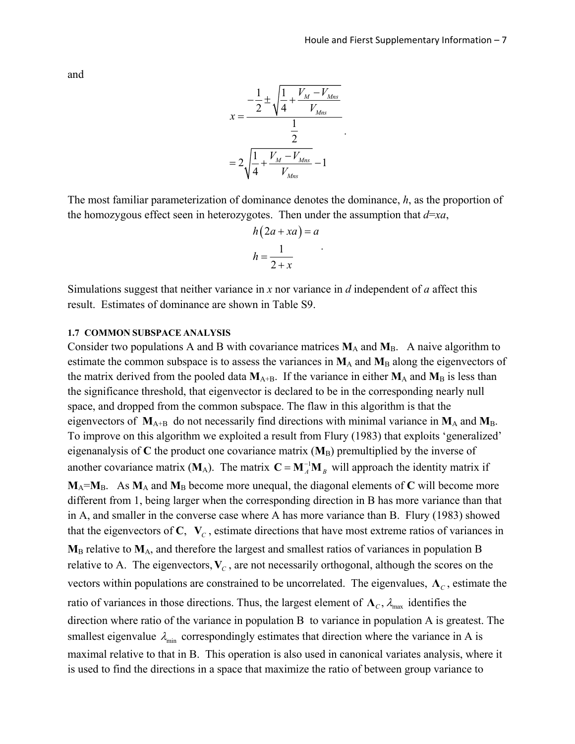and

$$
x = \frac{-\frac{1}{2} \pm \sqrt{\frac{1}{4} + \frac{V_M - V_{Mns}}{V_{Mns}}}}{\frac{1}{2}}
$$

$$
= 2\sqrt{\frac{1}{4} + \frac{V_M - V_{Mns}}{V_{Mns}}} - 1
$$

.

The most familiar parameterization of dominance denotes the dominance, *h*, as the proportion of the homozygous effect seen in heterozygotes. Then under the assumption that  $d=xa$ ,

$$
h(2a + xa) = a
$$

$$
h = \frac{1}{2 + x}
$$

.

Simulations suggest that neither variance in *x* nor variance in *d* independent of *a* affect this result. Estimates of dominance are shown in Table S9.

#### **1.7 COMMON SUBSPACE ANALYSIS**

Consider two populations A and B with covariance matrices  $M_A$  and  $M_B$ . A naive algorithm to estimate the common subspace is to assess the variances in  $M_A$  and  $M_B$  along the eigenvectors of the matrix derived from the pooled data  $M_{A+B}$ . If the variance in either  $M_A$  and  $M_B$  is less than the significance threshold, that eigenvector is declared to be in the corresponding nearly null space, and dropped from the common subspace. The flaw in this algorithm is that the eigenvectors of  $M_{A+B}$  do not necessarily find directions with minimal variance in  $M_A$  and  $M_B$ . To improve on this algorithm we exploited a result from Flury (1983) that exploits 'generalized' eigenanalysis of  $C$  the product one covariance matrix  $(M_B)$  premultiplied by the inverse of another covariance matrix ( $M_A$ ). The matrix  $C = M_A^{-1} M_B$  will approach the identity matrix if  $M_A = M_B$ . As  $M_A$  and  $M_B$  become more unequal, the diagonal elements of C will become more different from 1, being larger when the corresponding direction in B has more variance than that in A, and smaller in the converse case where A has more variance than B. Flury (1983) showed that the eigenvectors of  $C$ ,  $V_c$ , estimate directions that have most extreme ratios of variances in  $M_B$  relative to  $M_A$ , and therefore the largest and smallest ratios of variances in population B relative to A. The eigenvectors,  $V_c$ , are not necessarily orthogonal, although the scores on the vectors within populations are constrained to be uncorrelated. The eigenvalues,  $\Lambda_c$ , estimate the ratio of variances in those directions. Thus, the largest element of  $\Lambda_c$ ,  $\lambda_{\text{max}}$  identifies the direction where ratio of the variance in population B to variance in population A is greatest. The smallest eigenvalue  $\lambda_{\min}$  correspondingly estimates that direction where the variance in A is maximal relative to that in B. This operation is also used in canonical variates analysis, where it is used to find the directions in a space that maximize the ratio of between group variance to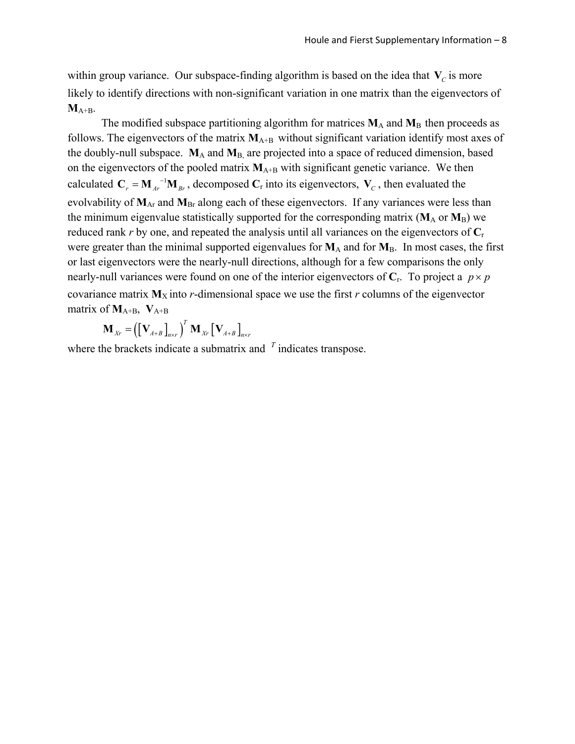within group variance. Our subspace-finding algorithm is based on the idea that  $V_c$  is more likely to identify directions with non-significant variation in one matrix than the eigenvectors of **M**A+B.

The modified subspace partitioning algorithm for matrices  $M_A$  and  $M_B$  then proceeds as follows. The eigenvectors of the matrix  $M_{A+B}$  without significant variation identify most axes of the doubly-null subspace. **M**A and **M**B, are projected into a space of reduced dimension, based on the eigenvectors of the pooled matrix  $M_{A+B}$  with significant genetic variance. We then calculated  $C_r = M_{Ar}^{-1}M_{Br}$ , decomposed  $C_r$  into its eigenvectors,  $V_c$ , then evaluated the evolvability of  $M_{Ar}$  and  $M_{Br}$  along each of these eigenvectors. If any variances were less than the minimum eigenvalue statistically supported for the corresponding matrix  $(M_A \text{ or } M_B)$  we reduced rank *r* by one, and repeated the analysis until all variances on the eigenvectors of **C**<sup>r</sup> were greater than the minimal supported eigenvalues for  $M_A$  and for  $M_B$ . In most cases, the first or last eigenvectors were the nearly-null directions, although for a few comparisons the only nearly-null variances were found on one of the interior eigenvectors of  $C_r$ . To project a  $p \times p$ covariance matrix  $M_X$  into *r*-dimensional space we use the first *r* columns of the eigenvector matrix of  $M_{A+B}$ ,  $V_{A+B}$ 

$$
\mathbf{M}_{Xr} = \left( \left[ \mathbf{V}_{A+B} \right]_{n \times r} \right)^T \mathbf{M}_{Xr} \left[ \mathbf{V}_{A+B} \right]_{n \times r}
$$

where the brackets indicate a submatrix and <sup>T</sup> indicates transpose.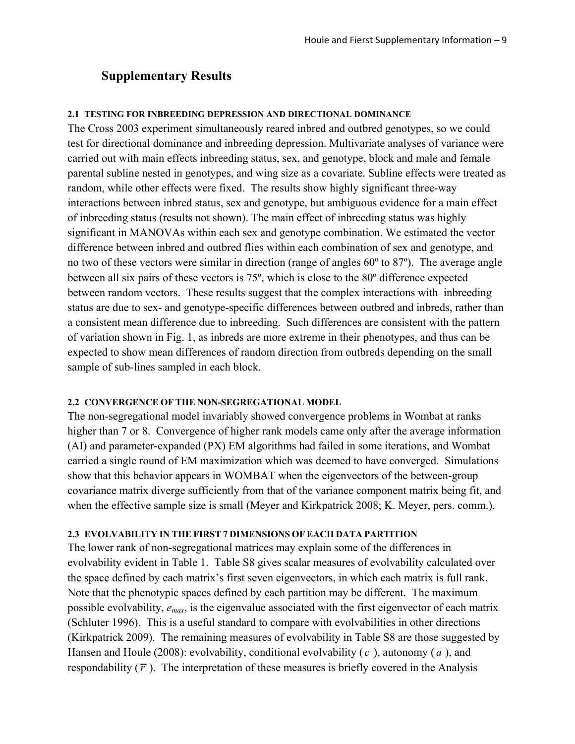# **Supplementary Results**

## **2.1 TESTING FOR INBREEDING DEPRESSION AND DIRECTIONAL DOMINANCE**

The Cross 2003 experiment simultaneously reared inbred and outbred genotypes, so we could test for directional dominance and inbreeding depression. Multivariate analyses of variance were carried out with main effects inbreeding status, sex, and genotype, block and male and female parental subline nested in genotypes, and wing size as a covariate. Subline effects were treated as random, while other effects were fixed. The results show highly significant three-way interactions between inbred status, sex and genotype, but ambiguous evidence for a main effect of inbreeding status (results not shown). The main effect of inbreeding status was highly significant in MANOVAs within each sex and genotype combination. We estimated the vector difference between inbred and outbred flies within each combination of sex and genotype, and no two of these vectors were similar in direction (range of angles 60º to 87º). The average angle between all six pairs of these vectors is 75º, which is close to the 80º difference expected between random vectors. These results suggest that the complex interactions with inbreeding status are due to sex- and genotype-specific differences between outbred and inbreds, rather than a consistent mean difference due to inbreeding. Such differences are consistent with the pattern of variation shown in Fig. 1, as inbreds are more extreme in their phenotypes, and thus can be expected to show mean differences of random direction from outbreds depending on the small sample of sub-lines sampled in each block.

## **2.2 CONVERGENCE OF THE NON-SEGREGATIONAL MODEL**

The non-segregational model invariably showed convergence problems in Wombat at ranks higher than 7 or 8. Convergence of higher rank models came only after the average information (AI) and parameter-expanded (PX) EM algorithms had failed in some iterations, and Wombat carried a single round of EM maximization which was deemed to have converged. Simulations show that this behavior appears in WOMBAT when the eigenvectors of the between-group covariance matrix diverge sufficiently from that of the variance component matrix being fit, and when the effective sample size is small (Meyer and Kirkpatrick 2008; K. Meyer, pers. comm.).

## **2.3 EVOLVABILITY IN THE FIRST 7 DIMENSIONS OF EACH DATA PARTITION**

The lower rank of non-segregational matrices may explain some of the differences in evolvability evident in Table 1. Table S8 gives scalar measures of evolvability calculated over the space defined by each matrix's first seven eigenvectors, in which each matrix is full rank. Note that the phenotypic spaces defined by each partition may be different. The maximum possible evolvability, *emax*, is the eigenvalue associated with the first eigenvector of each matrix (Schluter 1996). This is a useful standard to compare with evolvabilities in other directions (Kirkpatrick 2009). The remaining measures of evolvability in Table S8 are those suggested by Hansen and Houle (2008): evolvability, conditional evolvability ( $\bar{c}$ ), autonomy ( $\bar{a}$ ), and respondability  $(\bar{r})$ . The interpretation of these measures is briefly covered in the Analysis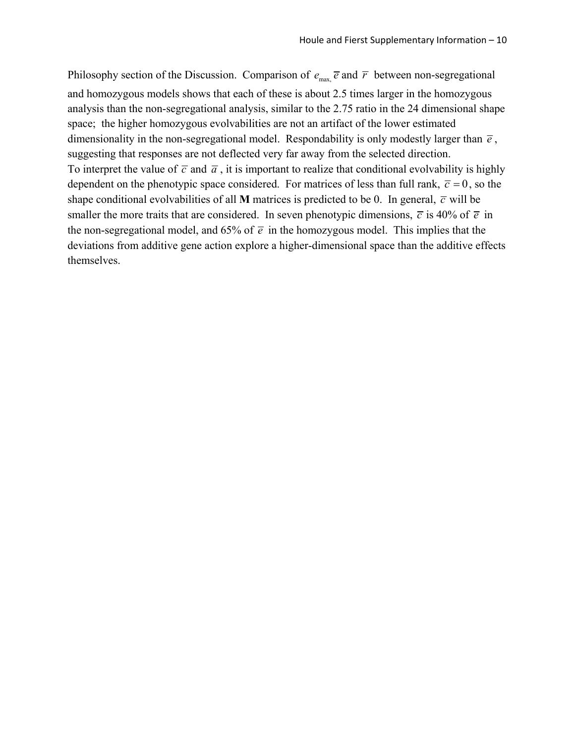Philosophy section of the Discussion. Comparison of  $e_{\text{max}} \bar{e}$  and  $\bar{r}$  between non-segregational and homozygous models shows that each of these is about 2.5 times larger in the homozygous analysis than the non-segregational analysis, similar to the 2.75 ratio in the 24 dimensional shape space; the higher homozygous evolvabilities are not an artifact of the lower estimated dimensionality in the non-segregational model. Respondability is only modestly larger than  $\bar{e}$ , suggesting that responses are not deflected very far away from the selected direction. To interpret the value of  $\bar{c}$  and  $\bar{a}$ , it is important to realize that conditional evolvability is highly dependent on the phenotypic space considered. For matrices of less than full rank,  $\bar{c} = 0$ , so the shape conditional evolvabilities of all **M** matrices is predicted to be 0. In general,  $\vec{c}$  will be smaller the more traits that are considered. In seven phenotypic dimensions,  $\bar{c}$  is 40% of  $\bar{e}$  in the non-segregational model, and 65% of  $\bar{e}$  in the homozygous model. This implies that the deviations from additive gene action explore a higher-dimensional space than the additive effects themselves.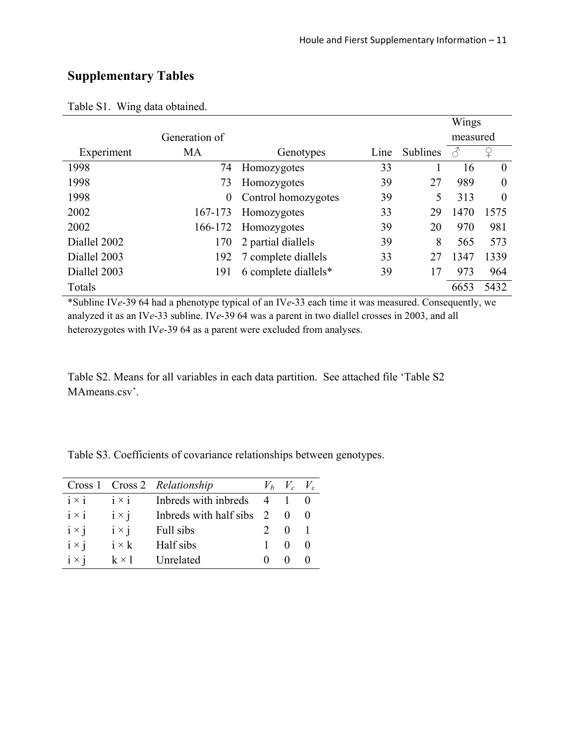# **Supplementary Tables**

|              |               |                      |      |          | Wings    |          |
|--------------|---------------|----------------------|------|----------|----------|----------|
|              | Generation of |                      |      |          | measured |          |
| Experiment   | <b>MA</b>     | Genotypes            | Line | Sublines |          |          |
| 1998         | 74            | Homozygotes          | 33   |          | 16       | $\Omega$ |
| 1998         | 73            | Homozygotes          | 39   | 27       | 989      | $\theta$ |
| 1998         | $\theta$      | Control homozygotes  | 39   | 5        | 313      | $\theta$ |
| 2002         | 167-173       | Homozygotes          | 33   | 29       | 1470     | 1575     |
| 2002         | 166-172       | Homozygotes          | 39   | 20       | 970      | 981      |
| Diallel 2002 | 170           | 2 partial diallels   | 39   | 8        | 565      | 573      |
| Diallel 2003 | 192           | 7 complete diallels  | 33   | 27       | 1347     | 1339     |
| Diallel 2003 | 191           | 6 complete diallels* | 39   | 17       | 973      | 964      |
| Totals       |               |                      |      |          | 6653     | 5432     |

Table S1. Wing data obtained.

\*Subline IV*e*-39 64 had a phenotype typical of an IV*e*-33 each time it was measured. Consequently, we analyzed it as an IV*e*-33 subline. IV*e*-39 64 was a parent in two diallel crosses in 2003, and all heterozygotes with IV*e*-39 64 as a parent were excluded from analyses.

Table S2. Means for all variables in each data partition. See attached file 'Table S2 MAmeans.csv'.

Table S3. Coefficients of covariance relationships between genotypes.

|              |              | Cross 1 Cross 2 Relationship |                | $V_b$ $V_c$ $V_s$ |  |
|--------------|--------------|------------------------------|----------------|-------------------|--|
| $i \times i$ | $i \times i$ | Inbreds with inbreds         | $\overline{4}$ |                   |  |
| $i \times i$ | $i \times j$ | Indeeds with half sibs       | $\mathcal{L}$  |                   |  |
| $i \times j$ | $i \times j$ | Full sibs                    |                |                   |  |
| $i \times j$ | $i \times k$ | Half sibs                    |                |                   |  |
| $i \times i$ | $k \times 1$ | Unrelated                    |                |                   |  |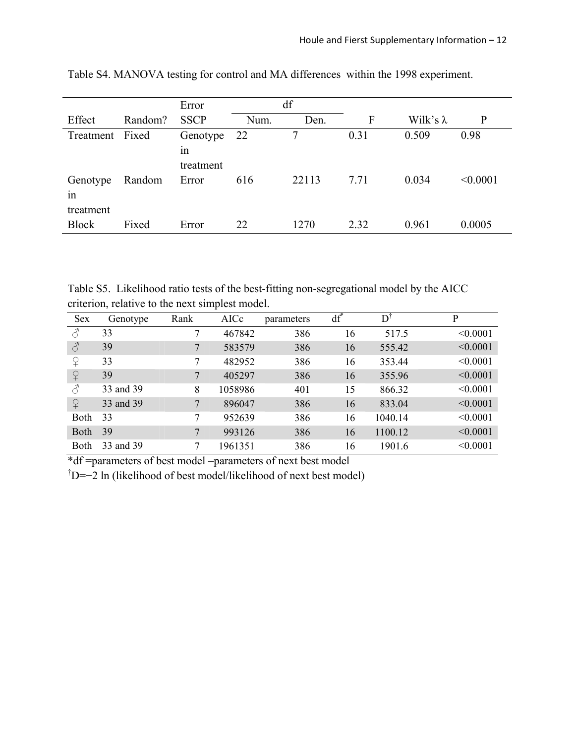|                             |         | Error                       | df   |       |      |                  |          |
|-----------------------------|---------|-----------------------------|------|-------|------|------------------|----------|
| Effect                      | Random? | <b>SSCP</b>                 | Num. | Den.  | F    | Wilk's $\lambda$ | P        |
| Treatment                   | Fixed   | Genotype<br>1n<br>treatment | 22   | 7     | 0.31 | 0.509            | 0.98     |
| Genotype<br>1n<br>treatment | Random  | Error                       | 616  | 22113 | 7.71 | 0.034            | < 0.0001 |
| <b>Block</b>                | Fixed   | Error                       | 22   | 1270  | 2.32 | 0.961            | 0.0005   |

Table S4. MANOVA testing for control and MA differences within the 1998 experiment.

Table S5. Likelihood ratio tests of the best-fitting non-segregational model by the AICC criterion, relative to the next simplest model.

| <b>Sex</b>     | Genotype  | Rank | AICc    | parameters | $df^*$ | D†      | P        |
|----------------|-----------|------|---------|------------|--------|---------|----------|
| $\mathcal{S}$  | 33        | 7    | 467842  | 386        | 16     | 517.5   | < 0.0001 |
| $\mathcal{S}$  | 39        | 7    | 583579  | 386        | 16     | 555.42  | < 0.0001 |
| ♀              | 33        | 7    | 482952  | 386        | 16     | 353.44  | < 0.0001 |
| $\overline{P}$ | 39        | 7    | 405297  | 386        | 16     | 355.96  | < 0.0001 |
| 8              | 33 and 39 | 8    | 1058986 | 401        | 15     | 866.32  | < 0.0001 |
| $\Omega$       | 33 and 39 | 7    | 896047  | 386        | 16     | 833.04  | < 0.0001 |
| Both           | 33        | 7    | 952639  | 386        | 16     | 1040.14 | < 0.0001 |
| Both           | 39        | 7    | 993126  | 386        | 16     | 1100.12 | < 0.0001 |
| Both           | 33 and 39 | 7    | 1961351 | 386        | 16     | 1901.6  | < 0.0001 |

\*df =parameters of best model –parameters of next best model

† D=−2 ln (likelihood of best model/likelihood of next best model)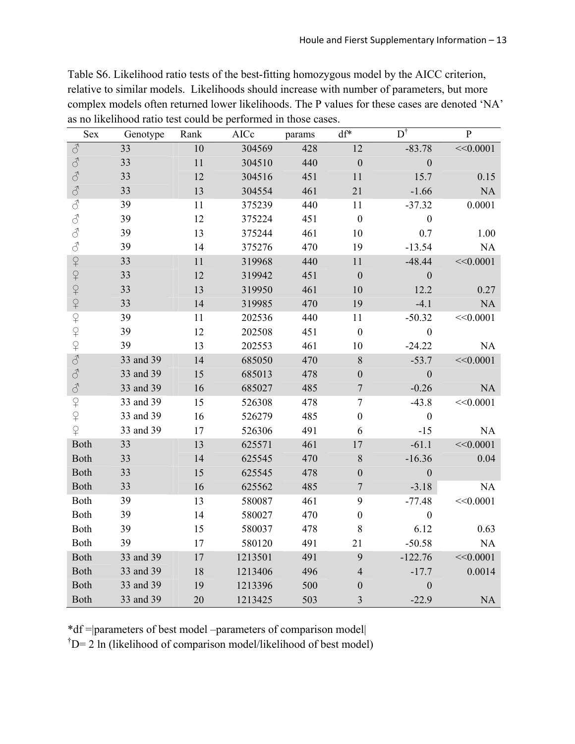| Table S6. Likelihood ratio tests of the best-fitting homozygous model by the AICC criterion,   |
|------------------------------------------------------------------------------------------------|
| relative to similar models. Likelihoods should increase with number of parameters, but more    |
| complex models often returned lower likelihoods. The P values for these cases are denoted 'NA' |
| as no likelihood ratio test could be performed in those cases.                                 |

| Sex                 | Genotype  | Rank   | AICc    | params | df*              | $D^{\dagger}$    | ${\bf P}$ |
|---------------------|-----------|--------|---------|--------|------------------|------------------|-----------|
| $\vec{\mathcal{S}}$ | 33        | $10\,$ | 304569  | 428    | 12               | $-83.78$         | <<0.0001  |
| $\vec{\mathcal{S}}$ | 33        | 11     | 304510  | 440    | $\boldsymbol{0}$ | $\boldsymbol{0}$ |           |
| $\sigma$            | 33        | 12     | 304516  | 451    | 11               | 15.7             | 0.15      |
| $\sigma$            | 33        | 13     | 304554  | 461    | 21               | $-1.66$          | NA        |
| $\vec{\mathcal{S}}$ | 39        | 11     | 375239  | 440    | 11               | $-37.32$         | 0.0001    |
| $\vec{\mathcal{C}}$ | 39        | 12     | 375224  | 451    | $\boldsymbol{0}$ | $\boldsymbol{0}$ |           |
| $\vec{\mathcal{C}}$ | 39        | 13     | 375244  | 461    | 10               | 0.7              | 1.00      |
| $\vec{\mathcal{C}}$ | 39        | 14     | 375276  | 470    | 19               | $-13.54$         | NA        |
|                     | 33        | 11     | 319968  | 440    | 11               | $-48.44$         | <<0.0001  |
|                     | 33        | 12     | 319942  | 451    | $\boldsymbol{0}$ | $\boldsymbol{0}$ |           |
|                     | 33        | 13     | 319950  | 461    | 10               | 12.2             | 0.27      |
|                     | 33        | 14     | 319985  | 470    | 19               | $-4.1$           | NA        |
| 9999999999          | 39        | 11     | 202536  | 440    | 11               | $-50.32$         | <<0.0001  |
|                     | 39        | 12     | 202508  | 451    | $\boldsymbol{0}$ | $\boldsymbol{0}$ |           |
|                     | 39        | 13     | 202553  | 461    | 10               | $-24.22$         | NA        |
| $\mathcal{S}$       | 33 and 39 | 14     | 685050  | 470    | 8                | $-53.7$          | <<0.0001  |
| $\sigma$            | 33 and 39 | 15     | 685013  | 478    | $\boldsymbol{0}$ | $\boldsymbol{0}$ |           |
| $\vec{\mathcal{C}}$ | 33 and 39 | 16     | 685027  | 485    | $\boldsymbol{7}$ | $-0.26$          | <b>NA</b> |
| $\overline{P}$      | 33 and 39 | 15     | 526308  | 478    | $\overline{7}$   | $-43.8$          | <<0.0001  |
| $\varphi$           | 33 and 39 | 16     | 526279  | 485    | $\boldsymbol{0}$ | $\boldsymbol{0}$ |           |
| $\overline{Q}$      | 33 and 39 | 17     | 526306  | 491    | 6                | $-15$            | NA        |
| Both                | 33        | 13     | 625571  | 461    | $17\,$           | $-61.1$          | <<0.0001  |
| Both                | 33        | 14     | 625545  | 470    | $\,$ $\,$        | $-16.36$         | 0.04      |
| Both                | 33        | 15     | 625545  | 478    | $\boldsymbol{0}$ | $\boldsymbol{0}$ |           |
| Both                | 33        | 16     | 625562  | 485    | $\overline{7}$   | $-3.18$          | NA        |
| Both                | 39        | 13     | 580087  | 461    | 9                | $-77.48$         | <<0.0001  |
| Both                | 39        | 14     | 580027  | 470    | $\boldsymbol{0}$ | $\boldsymbol{0}$ |           |
| Both                | 39        | 15     | 580037  | 478    | 8                | 6.12             | 0.63      |
| Both                | 39        | 17     | 580120  | 491    | 21               | $-50.58$         | NA        |
| Both                | 33 and 39 | 17     | 1213501 | 491    | 9                | $-122.76$        | <<0.0001  |
| <b>Both</b>         | 33 and 39 | 18     | 1213406 | 496    | $\overline{4}$   | $-17.7$          | 0.0014    |
| <b>Both</b>         | 33 and 39 | 19     | 1213396 | 500    | $\boldsymbol{0}$ | $\mathbf{0}$     |           |
| <b>Both</b>         | 33 and 39 | 20     | 1213425 | 503    | 3                | $-22.9$          | <b>NA</b> |

\*df =|parameters of best model –parameters of comparison model|

 $\phi^{\dagger}$ D= 2 ln (likelihood of comparison model/likelihood of best model)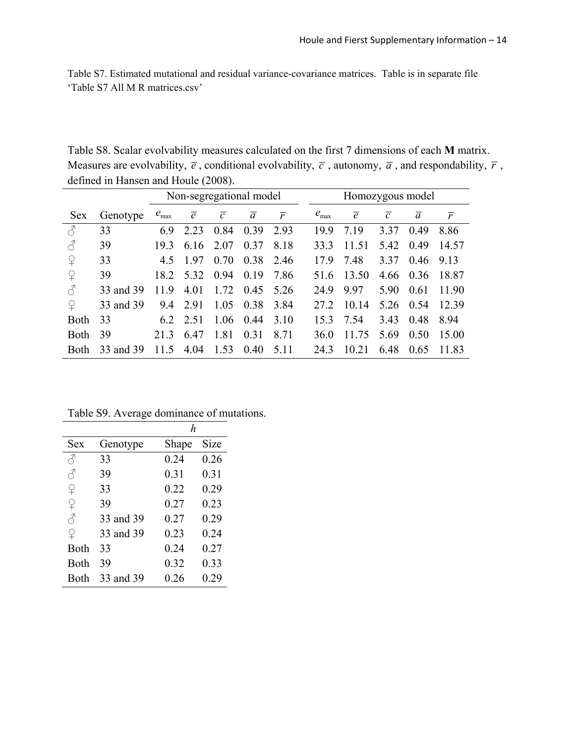Table S7. Estimated mutational and residual variance-covariance matrices. Table is in separate file 'Table S7 All M R matrices.csv'

Table S8. Scalar evolvability measures calculated on the first 7 dimensions of each **M** matrix. Measures are evolvability,  $\bar{e}$ , conditional evolvability,  $\bar{c}$ , autonomy,  $\bar{a}$ , and respondability,  $\bar{r}$ , defined in Hansen and Houle (2008).  $\overline{\phantom{a}}$ 

|               |           | Non-segregational model |                |                |                | Homozygous model |                  |                |                |                |                |
|---------------|-----------|-------------------------|----------------|----------------|----------------|------------------|------------------|----------------|----------------|----------------|----------------|
| <b>Sex</b>    | Genotype  | $e_{\text{max}}$        | $\overline{e}$ | $\overline{c}$ | $\overline{a}$ | $\overline{r}$   | $e_{\text{max}}$ | $\overline{e}$ | $\overline{c}$ | $\mathfrak{a}$ | $\overline{r}$ |
| $\mathcal{E}$ | 33        | 69                      | 2.23           | 0.84           | 0.39           | 2.93             | 19.9             | 7.19           | 3.37           | 0.49           | 8.86           |
| $\mathcal{E}$ | 39        | 19.3                    | 6.16           | 2.07           | 0.37           | 8.18             | 33.3             | 11.51          | 5.42           | 0.49           | 14.57          |
| $\Omega$      | 33        | 4.5                     | 1.97           | 0.70           | 0.38           | 2.46             | 179              | 7.48           | 3.37           | 0.46           | 9.13           |
| $\Omega$      | 39        | 18.2                    | 5.32           | 0.94           | 0.19           | 7.86             | 516              | 13.50          | 4.66           | 0.36           | 18.87          |
| ♂             | 33 and 39 | 119                     | 4.01           | 1.72           | 0.45           | 5.26             | 249              | 9.97           | 5.90           | 0.61           | 11.90          |
| $\Omega$      | 33 and 39 | 9.4                     | 2.91           | 1.05           | 0.38           | 3.84             | 27 2             | 10.14          | 5.26           | 0.54           | 12.39          |
| <b>Both</b>   | 33        |                         | 6.2 2.51       | 1.06           | 0.44           | 3.10             | 153              | 7.54           | 3.43           | 0.48           | 894            |
| <b>Both</b>   | 39        | 21.3                    | 6.47           | 1.81           | 0.31           | 8 7 1            | 36.0             | 11.75          | 5.69           | 0.50           | 15 00          |
| <b>Both</b>   | 33 and 39 | 11.5                    | 4.04           | 1.53           | 0.40           | 5 1 1            | 243              | 10.21          | 6.48           | 0.65           | 11.83          |

Table S9. Average dominance of mutations.

|             |           | h     |             |
|-------------|-----------|-------|-------------|
| Sex         | Genotype  | Shape | <b>Size</b> |
| Å           | 33        | 0.24  | 0.26        |
| З           | 39        | 0.31  | 0.31        |
| ♀           | 33        | 0.22  | 0.29        |
| $\Omega$    | 39        | 0.27  | 0.23        |
| ♂           | 33 and 39 | 0.27  | 0.29        |
| ♀           | 33 and 39 | 0.23  | 0.24        |
| Both        | 33        | 0.24  | 0.27        |
| Both        | 39        | 0.32  | 0.33        |
| <b>Both</b> | 33 and 39 | 0.26  | 0.29        |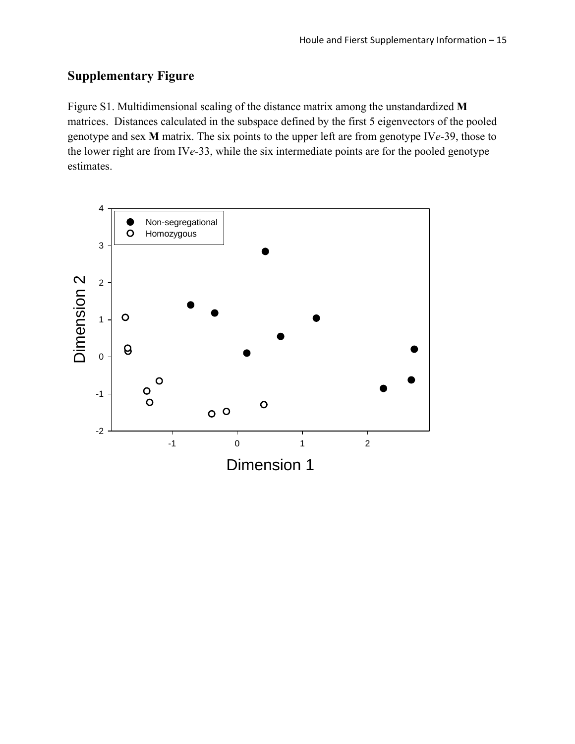# **Supplementary Figure**

Figure S1. Multidimensional scaling of the distance matrix among the unstandardized **M** matrices. Distances calculated in the subspace defined by the first 5 eigenvectors of the pooled genotype and sex **M** matrix. The six points to the upper left are from genotype IV*e*-39, those to the lower right are from IV*e*-33, while the six intermediate points are for the pooled genotype estimates.